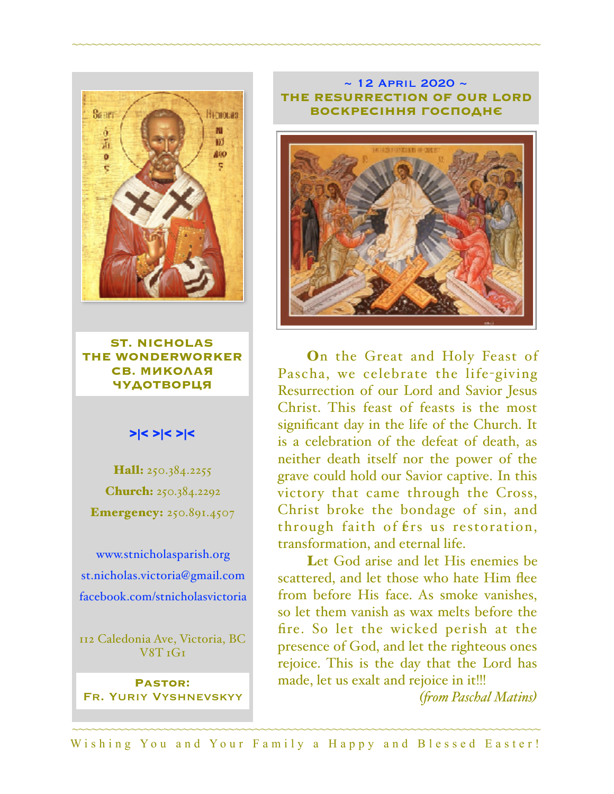

**ST. NICHOLAS THE WONDERWORKER СВ. МИКОЛАЯ ЧУДОТВОРЦЯ**

### >|< >|< >|<

Hall: 250.384.2255 Church: 250.384.2292 **Emergency:** 250.891.4507

[www.stnicholasparish.org](http://www.stnicholasparish.org) [st.nicholas.victoria@gmail.com](mailto:st.nicholas.victoria@gmail.com) [facebook.com/stnicholasvictoria](http://facebook.com/stnicholasvictoria)

112 Caledonia Ave, Victoria, BC V8T 1G1

**Pastor:**  Fr. Yuriy Vyshnevskyy

#### $\sim$  12 APRIL 2020  $\sim$ **THE RESURRECTION OF OUR LORD ВОСКРЕСІННЯ ГОСПОДНЄ**

~~~~~~~~~~~~~~~~~~~~~~~~~~~~~~~~~~~~~~~~~~~~~~~~~~~~~~~~~~~~~~~~~~~~~~~~



On the Great and Holy Feast of Pascha, we celebrate the life-giving Resurrection of our Lord and Savior Jesus Christ. This feast of feasts is the most significant day in the life of the Church. It is a celebration of the defeat of death, as neither death itself nor the power of the grave could hold our Savior captive. In this victory that came through the Cross, Christ broke the bondage of sin, and through faith of  $f$ rs us restoration, transformation, and eternal life.

Let God arise and let His enemies be scattered, and let those who hate Him flee from before His face. As smoke vanishes, so let them vanish as wax melts before the fire. So let the wicked perish at the presence of God, and let the righteous ones rejoice. This is the day that the Lord has made, let us exalt and rejoice in it!!!

*(fom Paschal Matins)*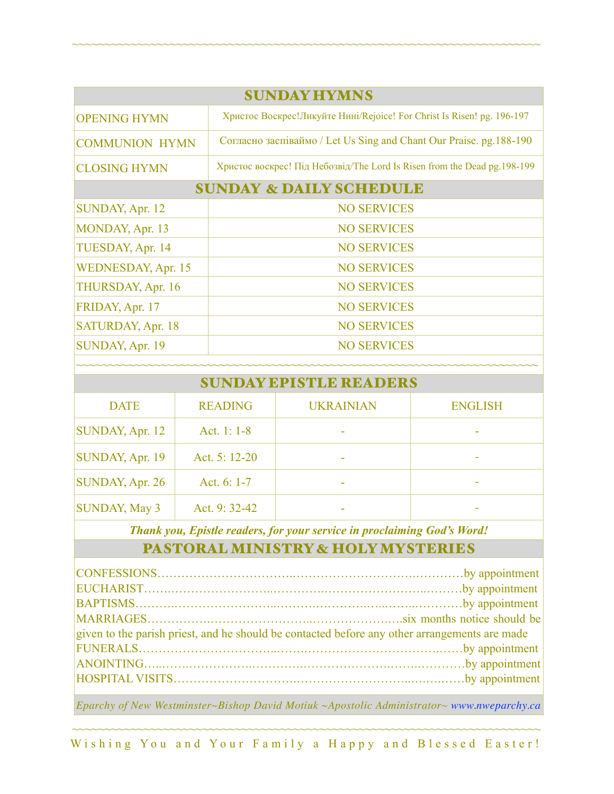| <b>SUNDAY HYMNS</b>                |                                                                           |  |  |
|------------------------------------|---------------------------------------------------------------------------|--|--|
| <b>OPENING HYMN</b>                | Христос Воскрес! Ликуйте Нині/Rejoice! For Christ Is Risen! pg. 196-197   |  |  |
| <b>COMMUNION HYMN</b>              | Согласно заспіваймо / Let Us Sing and Chant Our Praise. pg.188-190        |  |  |
| <b>CLOSING HYMN</b>                | Христос воскрес! Під Небозвід/The Lord Is Risen from the Dead pg. 198-199 |  |  |
| <b>SUNDAY &amp; DAILY SCHEDULE</b> |                                                                           |  |  |
| SUNDAY, Apr. 12                    | <b>NO SERVICES</b>                                                        |  |  |
| MONDAY, Apr. 13                    | <b>NO SERVICES</b>                                                        |  |  |
| TUESDAY, Apr. 14                   | <b>NO SERVICES</b>                                                        |  |  |
| <b>WEDNESDAY, Apr. 15</b>          | <b>NO SERVICES</b>                                                        |  |  |
| THURSDAY, Apr. 16                  | <b>NO SERVICES</b>                                                        |  |  |
| FRIDAY, Apr. 17                    | <b>NO SERVICES</b>                                                        |  |  |
| SATURDAY, Apr. 18                  | <b>NO SERVICES</b>                                                        |  |  |
| SUNDAY, Apr. 19                    | <b>NO SERVICES</b>                                                        |  |  |
|                                    |                                                                           |  |  |

~~~~~~~~~~~~~~~~~~~~~~~~~~~~~~~~~~~~~~~~~~~~~~~~~~~~~~~~~~~~~~~~~~~~~~~~

| <b>SUNDAY EPISTLE READERS</b> |                |                  |                |  |
|-------------------------------|----------------|------------------|----------------|--|
| <b>DATE</b>                   | <b>READING</b> | <b>UKRAINIAN</b> | <b>ENGLISH</b> |  |
| SUNDAY, Apr. 12               | Act. 1: $1-8$  |                  |                |  |
| SUNDAY, Apr. 19               | Act. 5: 12-20  |                  |                |  |
| SUNDAY, Apr. 26               | Act. $6: 1-7$  |                  |                |  |
| <b>SUNDAY, May 3</b>          | Act. 9:32-42   |                  | -              |  |

*Thank you, Epistle readers, for your service in proclaiming God's Word!*

# PASTORAL MINISTRY & HOLY MYSTERIES

| given to the parish priest, and he should be contacted before any other arrangements are made |  |  |
|-----------------------------------------------------------------------------------------------|--|--|
|                                                                                               |  |  |
|                                                                                               |  |  |
|                                                                                               |  |  |
|                                                                                               |  |  |

*Eparchy of New Westminster~Bishop David Motiuk ~Apostolic Administrator~ [www.nweparchy.ca](http://www.nweparchy.ca)*

~~~~~~~~~~~~~~~~~~~~~~~~~~~~~~~~~~~~~~~~~~~~~~~~~~~~~~~~~~~~~~~~~~~~~~~~ Wishing You and Your Family a Happy and Blessed Easter!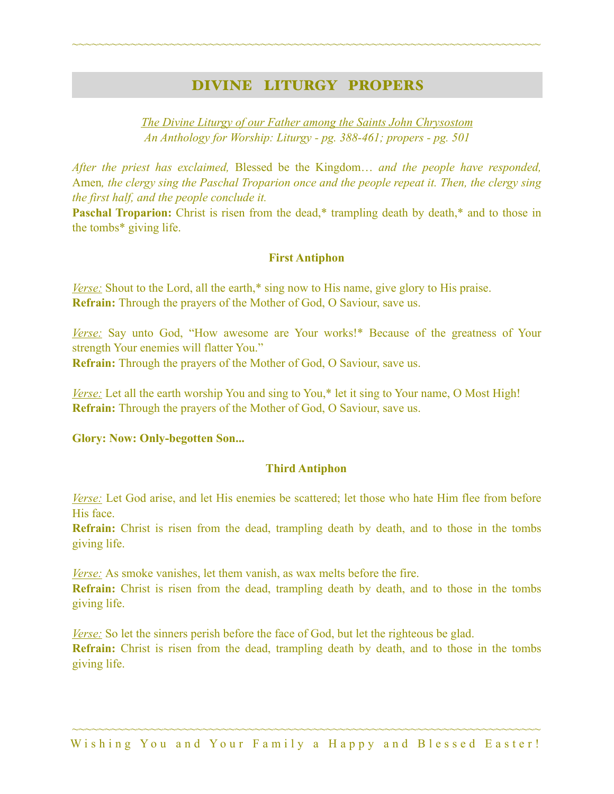# DIVINE LITURGY PROPERS

~~~~~~~~~~~~~~~~~~~~~~~~~~~~~~~~~~~~~~~~~~~~~~~~~~~~~~~~~~~~~~~~~~~~~~~~

*The Divine Liturgy of our Father among the Saints John Chrysostom An Anthology for Worship: Liturgy - pg. 388-461; propers - pg. 501* 

*After the priest has exclaimed,* Blessed be the Kingdom… *and the people have responded,*  Amen*, the clergy sing the Paschal Troparion once and the people repeat it. Then, the clergy sing the first half, and the people conclude it.*

**Paschal Troparion:** Christ is risen from the dead,\* trampling death by death,\* and to those in the tombs\* giving life.

### **First Antiphon**

*Verse:* Shout to the Lord, all the earth,\* sing now to His name, give glory to His praise. **Refrain:** Through the prayers of the Mother of God, O Saviour, save us.

*Verse:* Say unto God, "How awesome are Your works!\* Because of the greatness of Your strength Your enemies will flatter You." **Refrain:** Through the prayers of the Mother of God, O Saviour, save us.

*Verse:* Let all the earth worship You and sing to You,<sup>\*</sup> let it sing to Your name, O Most High! **Refrain:** Through the prayers of the Mother of God, O Saviour, save us.

**Glory: Now: Only-begotten Son...** 

### **Third Antiphon**

*Verse:* Let God arise, and let His enemies be scattered; let those who hate Him flee from before His face.

**Refrain:** Christ is risen from the dead, trampling death by death, and to those in the tombs giving life.

*Verse:* As smoke vanishes, let them vanish, as wax melts before the fire.

**Refrain:** Christ is risen from the dead, trampling death by death, and to those in the tombs giving life.

*Verse:* So let the sinners perish before the face of God, but let the righteous be glad. **Refrain:** Christ is risen from the dead, trampling death by death, and to those in the tombs giving life.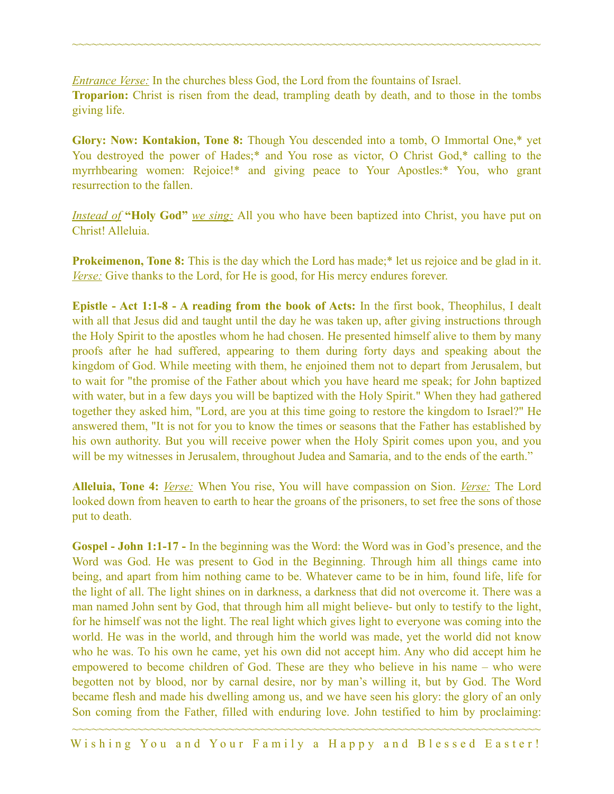*Entrance Verse:* In the churches bless God, the Lord from the fountains of Israel. **Troparion:** Christ is risen from the dead, trampling death by death, and to those in the tombs giving life.

~~~~~~~~~~~~~~~~~~~~~~~~~~~~~~~~~~~~~~~~~~~~~~~~~~~~~~~~~~~~~~~~~~~~~~~~

**Glory: Now: Kontakion, Tone 8:** Though You descended into a tomb, O Immortal One,\* yet You destroyed the power of Hades;\* and You rose as victor, O Christ God,\* calling to the myrrhbearing women: Rejoice!\* and giving peace to Your Apostles:\* You, who grant resurrection to the fallen.

*Instead of* **"Holy God"** *we sing:* All you who have been baptized into Christ, you have put on Christ! Alleluia.

**Prokeimenon, Tone 8:** This is the day which the Lord has made;<sup>\*</sup> let us rejoice and be glad in it. *Verse:* Give thanks to the Lord, for He is good, for His mercy endures forever.

**Epistle - Act 1:1-8 - A reading from the book of Acts:** In the first book, Theophilus, I dealt with all that Jesus did and taught until the day he was taken up, after giving instructions through the Holy Spirit to the apostles whom he had chosen. He presented himself alive to them by many proofs after he had suffered, appearing to them during forty days and speaking about the kingdom of God. While meeting with them, he enjoined them not to depart from Jerusalem, but to wait for "the promise of the Father about which you have heard me speak; for John baptized with water, but in a few days you will be baptized with the Holy Spirit." When they had gathered together they asked him, "Lord, are you at this time going to restore the kingdom to Israel?" He answered them, "It is not for you to know the times or seasons that the Father has established by his own authority. But you will receive power when the Holy Spirit comes upon you, and you will be my witnesses in Jerusalem, throughout Judea and Samaria, and to the ends of the earth."

**Alleluia, Tone 4:** *Verse:* When You rise, You will have compassion on Sion. *Verse:* The Lord looked down from heaven to earth to hear the groans of the prisoners, to set free the sons of those put to death.

**Gospel - John 1:1-17 -** In the beginning was the Word: the Word was in God's presence, and the Word was God. He was present to God in the Beginning. Through him all things came into being, and apart from him nothing came to be. Whatever came to be in him, found life, life for the light of all. The light shines on in darkness, a darkness that did not overcome it. There was a man named John sent by God, that through him all might believe- but only to testify to the light, for he himself was not the light. The real light which gives light to everyone was coming into the world. He was in the world, and through him the world was made, yet the world did not know who he was. To his own he came, yet his own did not accept him. Any who did accept him he empowered to become children of God. These are they who believe in his name – who were begotten not by blood, nor by carnal desire, nor by man's willing it, but by God. The Word became flesh and made his dwelling among us, and we have seen his glory: the glory of an only Son coming from the Father, filled with enduring love. John testified to him by proclaiming: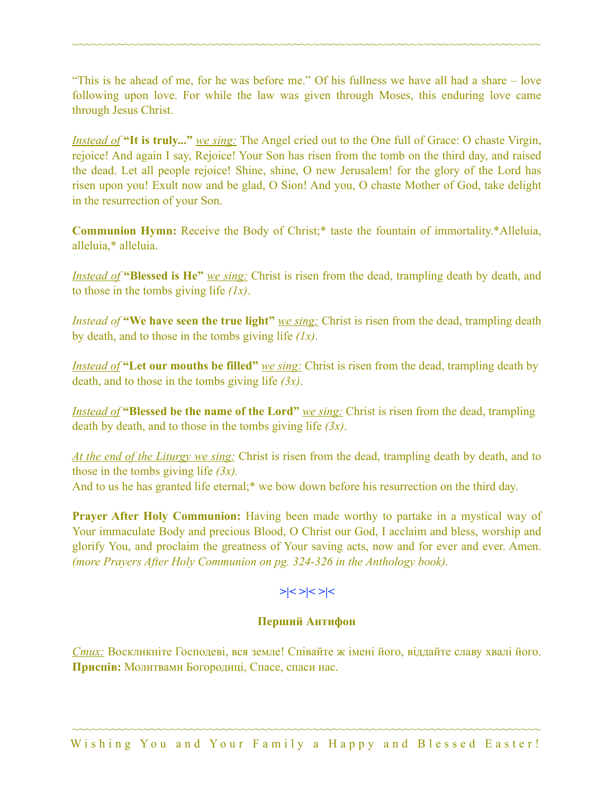"This is he ahead of me, for he was before me." Of his fullness we have all had a share – love following upon love. For while the law was given through Moses, this enduring love came through Jesus Christ.

~~~~~~~~~~~~~~~~~~~~~~~~~~~~~~~~~~~~~~~~~~~~~~~~~~~~~~~~~~~~~~~~~~~~~~~~

*Instead of* **"It is truly..."** *we sing:* The Angel cried out to the One full of Grace: O chaste Virgin, rejoice! And again I say, Rejoice! Your Son has risen from the tomb on the third day, and raised the dead. Let all people rejoice! Shine, shine, O new Jerusalem! for the glory of the Lord has risen upon you! Exult now and be glad, O Sion! And you, O chaste Mother of God, take delight in the resurrection of your Son.

**Communion Hymn:** Receive the Body of Christ;\* taste the fountain of immortality.\*Alleluia, alleluia,\* alleluia.

*Instead of* **"Blessed is He"** *we sing:* Christ is risen from the dead, trampling death by death, and to those in the tombs giving life *(1x)*.

*Instead of* "We have seen the true light" *we sing:* Christ is risen from the dead, trampling death by death, and to those in the tombs giving life *(1x)*.

*Instead of* "Let our mouths be filled" *we sing:* Christ is risen from the dead, trampling death by death, and to those in the tombs giving life *(3x)*.

*Instead of* **"Blessed be the name of the Lord"** *we sing:* Christ is risen from the dead, trampling death by death, and to those in the tombs giving life *(3x)*.

*At the end of the Liturgy we sing:* Christ is risen from the dead, trampling death by death, and to those in the tombs giving life *(3x).* And to us he has granted life eternal;<sup>\*</sup> we bow down before his resurrection on the third day.

**Prayer After Holy Communion:** Having been made worthy to partake in a mystical way of Your immaculate Body and precious Blood, O Christ our God, I acclaim and bless, worship and glorify You, and proclaim the greatness of Your saving acts, now and for ever and ever. Amen. *(more Prayers After Holy Communion on pg. 324-326 in the Anthology book).* 

### **>|< >|< >|<**

### **Перший Антифон**

*Стих:* Воскликніте Господеві, вся земле! Співайте ж імені його, віддайте славу хвалі його. **Приспів:** Молитвами Богородиці, Спасе, спаси нас.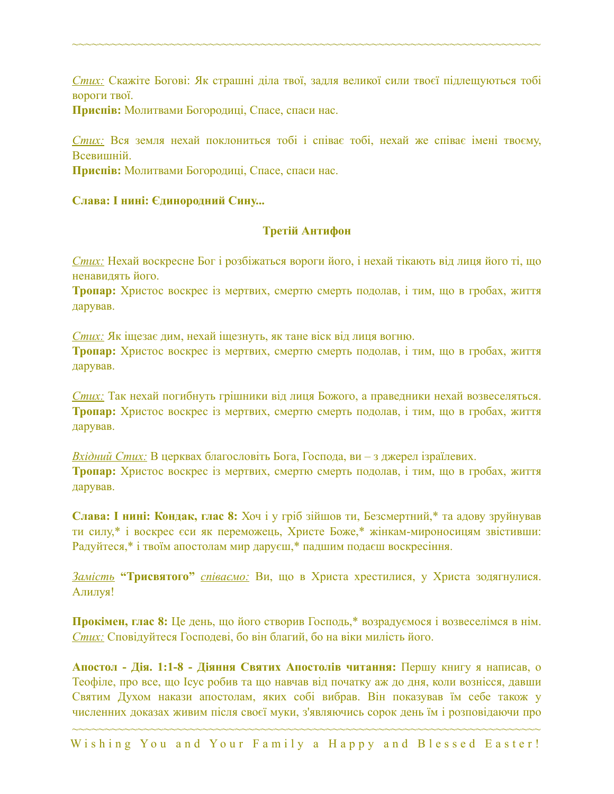*Стих:* Скажіте Богові: Як страшні діла твої, задля великої сили твоєї підлещуються тобі вороги твої.

~~~~~~~~~~~~~~~~~~~~~~~~~~~~~~~~~~~~~~~~~~~~~~~~~~~~~~~~~~~~~~~~~~~~~~~~

**Приспів:** Молитвами Богородиці, Спасе, спаси нас.

*Стих:* Вся земля нехай поклониться тобі і співає тобі, нехай же співає імені твоєму, Всевишній.

**Приспів:** Молитвами Богородиці, Спасе, спаси нас.

### **Слава: І нині: Єдинородний Сину...**

### **Третій Антифон**

*Стих:* Нехай воскресне Бог і розбіжаться вороги його, і нехай тікають від лиця його ті, що ненавидять його.

**Тропар:** Христос воскрес із мертвих, смертю смерть подолав, і тим, що в гробах, життя дарував.

*Стих:* Як іщезає дим, нехай іщезнуть, як тане віск від лиця вогню. **Тропар:** Христос воскрес із мертвих, смертю смерть подолав, і тим, що в гробах, життя дарував.

*Стих:* Так нехай погибнуть грішники від лиця Божого, а праведники нехай возвеселяться. **Тропар:** Христос воскрес із мертвих, смертю смерть подолав, і тим, що в гробах, життя дарував.

*Вхідний Стих:* В церквах благословіть Бога, Господа, ви – з джерел ізраїлевих. **Тропар:** Христос воскрес із мертвих, смертю смерть подолав, і тим, що в гробах, життя дарував.

**Слава: І нині: Кондак, глас 8:** Хоч і у гріб зійшов ти, Безсмертний,\* та адову зруйнував ти силу,\* і воскрес єси як переможець, Христе Боже,\* жінкам-мироносицям звістивши: Радуйтеся,\* і твоїм апостолам мир даруєш,\* падшим подаєш воскресіння.

*Замість* **"Трисвятого"** *співаємо:* Ви, що в Христа хрестилися, у Христа зодягнулися. Алилуя!

**Прокімен, глас 8:** Це день, що його створив Господь,\* возрадуємося і возвеселімся в нім. *Стих:* Сповідуйтеся Господеві, бо він благий, бо на віки милість його.

**Апостол - Дія. 1:1-8 - Діяння Святих Апостолів читання:** Першу книгу я написав, о Теофіле, про все, що Ісус робив та що навчав від початку аж до дня, коли вознісся, давши Святим Духом накази апостолам, яких собі вибрав. Він показував їм себе також у численних доказах живим після своєї муки, з'являючись сорок день їм і розповідаючи про

~~~~~~~~~~~~~~~~~~~~~~~~~~~~~~~~~~~~~~~~~~~~~~~~~~~~~~~~~~~~~~~~~~~~~~~~ Wishing You and Your Family a Happy and Blessed Easter!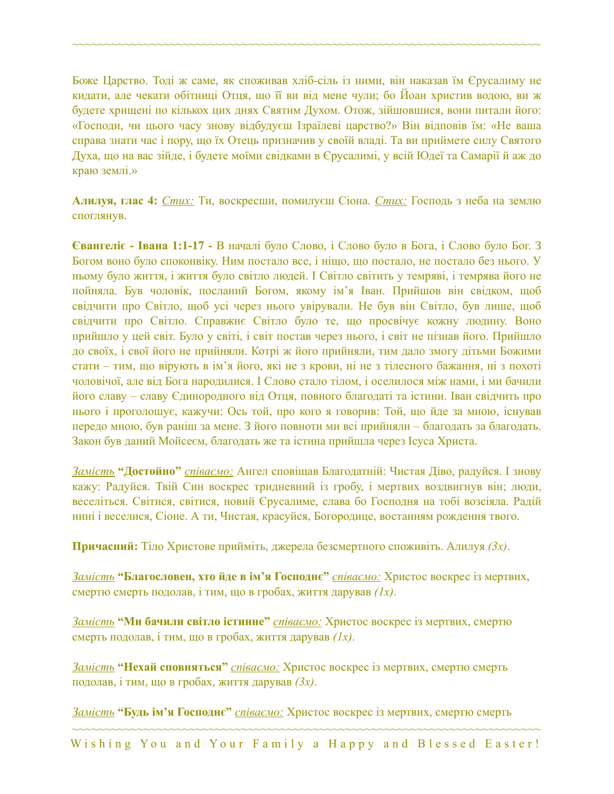Боже Царство. Тоді ж саме, як споживав хліб-сіль із ними, він наказав їм Єрусалиму не кидати, але чекати обітниці Отця, що її ви від мене чули; бо Йоан христив водою, ви ж будете хрищені по кількох цих днях Святим Духом. Отож, зійшовшися, вони питали його: «Господи, чи цього часу знову відбудуєш Ізраїлеві царство?» Він відповів їм: «Не ваша справа знати час і пору, що їх Отець призначив у своїй владі. Та ви приймете силу Святого Духа, що на вас зійде, і будете моїми свідками в Єрусалимі, у всій Юдеї та Самарії й аж до краю землі.»

~~~~~~~~~~~~~~~~~~~~~~~~~~~~~~~~~~~~~~~~~~~~~~~~~~~~~~~~~~~~~~~~~~~~~~~~

**Алилуя, глас 4:** *Стих:* Ти, воскресши, помилуєш Сіона. *Стих:* Господь з неба на землю споглянув.

**Євангеліє - Івана 1:1-17 -** В началі було Слово, і Слово було в Бога, і Слово було Бог. З Богом воно було споконвіку. Ним постало все, і ніщо, що постало, не постало без нього. У ньому було життя, і життя було світло людей. І Світло світить у темряві, і темрява його не пойняла. Був чоловік, посланий Богом, якому ім'я Іван. Прийшов він свідком, щоб свідчити про Світло, щоб усі через нього увірували. Не був він Світло, був лише, щоб свідчити про Світло. Справжнє Світло було те, що просвічує кожну людину. Воно прийшло у цей світ. Було у світі, і світ постав через нього, і світ не пізнав його. Прийшло до своїх, і свої його не прийняли. Котрі ж його прийняли, тим дало змогу дітьми Божими стати – тим, що вірують в ім'я його, які не з крови, ні не з тілесного бажання, ні з похоті чоловічої, але від Бога народилися. І Слово стало тілом, і оселилося між нами, і ми бачили його славу – славу Єдинородного від Отця, повного благодаті та істини. Іван свідчить про нього і проголошує, кажучи: Ось той, про кого я говорив: Той, що йде за мною, існував передо мною, був раніш за мене. З його повноти ми всі прийняли – благодать за благодать. Закон був даний Мойсеєм, благодать же та істина прийшла через Ісуса Христа.

*Замість* **"Достойно"** *співаємо:* Ангел сповіщав Благодатній: Чистая Діво, радуйся. І знову кажу: Радуйся. Твій Син воскрес тридневний із гробу, і мертвих воздвигнув він; люди, веселіться. Світися, світися, новий Єрусалиме, слава бо Господня на тобі возсіяла. Радій нині і веселися, Сіоне. А ти, Чистая, красуйся, Богородице, востанням рождення твого.

**Причасний:** Тіло Христове прийміть, джерела безсмертного споживіть. Алилуя *(3x)*.

*Замість* **"Благословен, хто йде в ім'я Господнє"** *співаємо:* Христос воскрес із мертвих, смертю смерть подолав, і тим, що в гробах, життя дарував *(1x)*.

*Замість* **"Ми бачили світло істинне"** *співаємо:* Христос воскрес із мертвих, смертю смерть подолав, і тим, що в гробах, життя дарував *(1x)*.

*Замість* **"Нехай сповняться"** *співаємо:* Христос воскрес із мертвих, смертю смерть подолав, і тим, що в гробах, життя дарував *(3x)*.

*Замість* **"Будь ім'я Господнє"** *співаємо:* Христос воскрес із мертвих, смертю смерть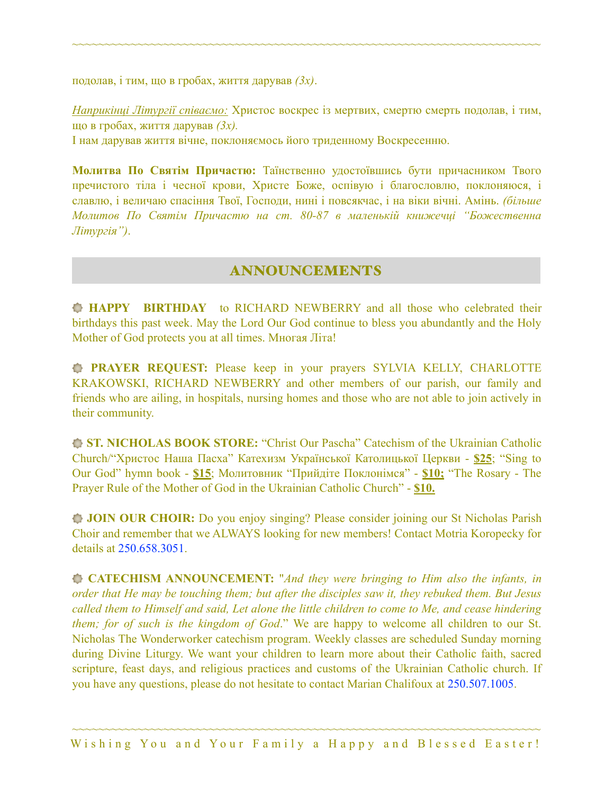подолав, і тим, що в гробах, життя дарував *(3x)*.

*Наприкінці Літургії співаємо:* Христос воскрес із мертвих, смертю смерть подолав, і тим, що в гробах, життя дарував *(3x).*

~~~~~~~~~~~~~~~~~~~~~~~~~~~~~~~~~~~~~~~~~~~~~~~~~~~~~~~~~~~~~~~~~~~~~~~~

І нам дарував життя вічне, поклоняємось його триденному Воскресенню.

**Молитва По Святім Причастю:** Таїнственно удостоївшись бути причасником Твого пречистого тіла і чесної крови, Христе Боже, оспівую і благословлю, поклоняюся, і славлю, і величаю спасіння Твої, Господи, нині і повсякчас, і на віки вічні. Амінь. *(більше Молитов По Святім Причастю на ст. 80-87 в маленькій книжечці "Божественна Літургія")*.

### ANNOUNCEMENTS

**HAPPY BIRTHDAY** to RICHARD NEWBERRY and all those who celebrated their birthdays this past week. May the Lord Our God continue to bless you abundantly and the Holy Mother of God protects you at all times. Многая Літа!

**PRAYER REQUEST:** Please keep in your prayers SYLVIA KELLY, CHARLOTTE KRAKOWSKI, RICHARD NEWBERRY and other members of our parish, our family and friends who are ailing, in hospitals, nursing homes and those who are not able to join actively in their community.

**ST. NICHOLAS BOOK STORE:** "Christ Our Pascha" Catechism of the Ukrainian Catholic Church/"Христос Наша Пасха" Катехизм Української Католицької Церкви - **\$25**; "Sing to Our God" hymn book - **\$15**; Молитовник "Прийдіте Поклонімся" - **\$10;** "The Rosary - The Prayer Rule of the Mother of God in the Ukrainian Catholic Church" - **\$10.** 

**JOIN OUR CHOIR:** Do you enjoy singing? Please consider joining our St Nicholas Parish Choir and remember that we ALWAYS looking for new members! Contact Motria Koropecky for details at 250.658.3051.

**CATECHISM ANNOUNCEMENT:** "*And they were bringing to Him also the infants, in order that He may be touching them; but after the disciples saw it, they rebuked them. But Jesus called them to Himself and said, Let alone the little children to come to Me, and cease hindering them; for of such is the kingdom of God*." We are happy to welcome all children to our St. Nicholas The Wonderworker catechism program. Weekly classes are scheduled Sunday morning during Divine Liturgy. We want your children to learn more about their Catholic faith, sacred scripture, feast days, and religious practices and customs of the Ukrainian Catholic church. If you have any questions, please do not hesitate to contact Marian Chalifoux at 250.507.1005.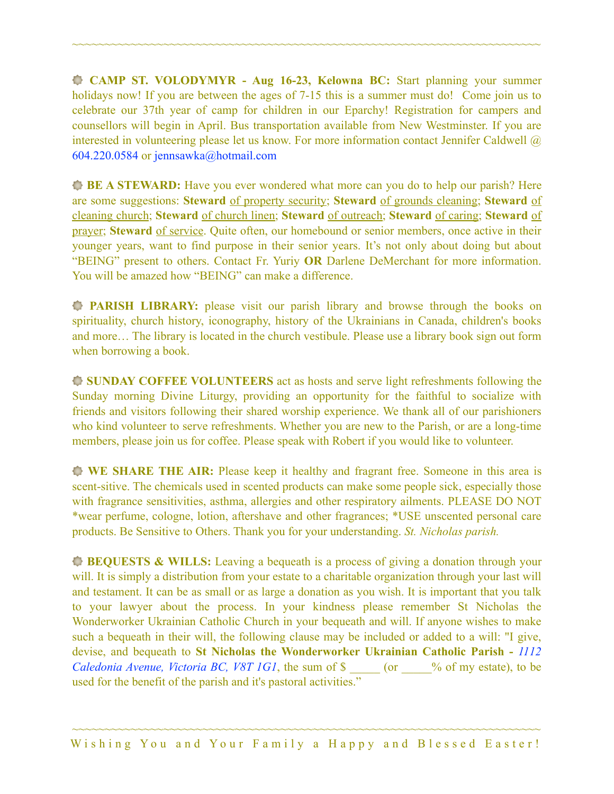**CAMP ST. VOLODYMYR - Aug 16-23, Kelowna BC:** Start planning your summer holidays now! If you are between the ages of 7-15 this is a summer must do! Come join us to celebrate our 37th year of camp for children in our Eparchy! Registration for campers and counsellors will begin in April. Bus transportation available from New Westminster. If you are interested in volunteering please let us know. For more information contact Jennifer Caldwell @ 604.220.0584 or [jennsawka@hotmail.com](mailto:jennsawka@hotmail.com)

~~~~~~~~~~~~~~~~~~~~~~~~~~~~~~~~~~~~~~~~~~~~~~~~~~~~~~~~~~~~~~~~~~~~~~~~

**BE A STEWARD:** Have you ever wondered what more can you do to help our parish? Here are some suggestions: **Steward** of property security; **Steward** of grounds cleaning; **Steward** of cleaning church; **Steward** of church linen; **Steward** of outreach; **Steward** of caring; **Steward** of prayer; **Steward** of service. Quite often, our homebound or senior members, once active in their younger years, want to find purpose in their senior years. It's not only about doing but about "BEING" present to others. Contact Fr. Yuriy **OR** Darlene DeMerchant for more information. You will be amazed how "BEING" can make a difference.

**PARISH LIBRARY:** please visit our parish library and browse through the books on spirituality, church history, iconography, history of the Ukrainians in Canada, children's books and more… The library is located in the church vestibule. Please use a library book sign out form when borrowing a book.

**SUNDAY COFFEE VOLUNTEERS** act as hosts and serve light refreshments following the Sunday morning Divine Liturgy, providing an opportunity for the faithful to socialize with friends and visitors following their shared worship experience. We thank all of our parishioners who kind volunteer to serve refreshments. Whether you are new to the Parish, or are a long-time members, please join us for coffee. Please speak with Robert if you would like to volunteer.

**WE SHARE THE AIR:** Please keep it healthy and fragrant free. Someone in this area is scent-sitive. The chemicals used in scented products can make some people sick, especially those with fragrance sensitivities, asthma, allergies and other respiratory ailments. PLEASE DO NOT \*wear perfume, cologne, lotion, aftershave and other fragrances; \*USE unscented personal care products. Be Sensitive to Others. Thank you for your understanding. *St. Nicholas parish.* 

**BEQUESTS & WILLS:** Leaving a bequeath is a process of giving a donation through your will. It is simply a distribution from your estate to a charitable organization through your last will and testament. It can be as small or as large a donation as you wish. It is important that you talk to your lawyer about the process. In your kindness please remember St Nicholas the Wonderworker Ukrainian Catholic Church in your bequeath and will. If anyone wishes to make such a bequeath in their will, the following clause may be included or added to a will: "I give, devise, and bequeath to **St Nicholas the Wonderworker Ukrainian Catholic Parish -** *1112 Caledonia Avenue, Victoria BC, V8T 1G1*, the sum of \$  $\degree$  (or  $\degree$  % of my estate), to be used for the benefit of the parish and it's pastoral activities."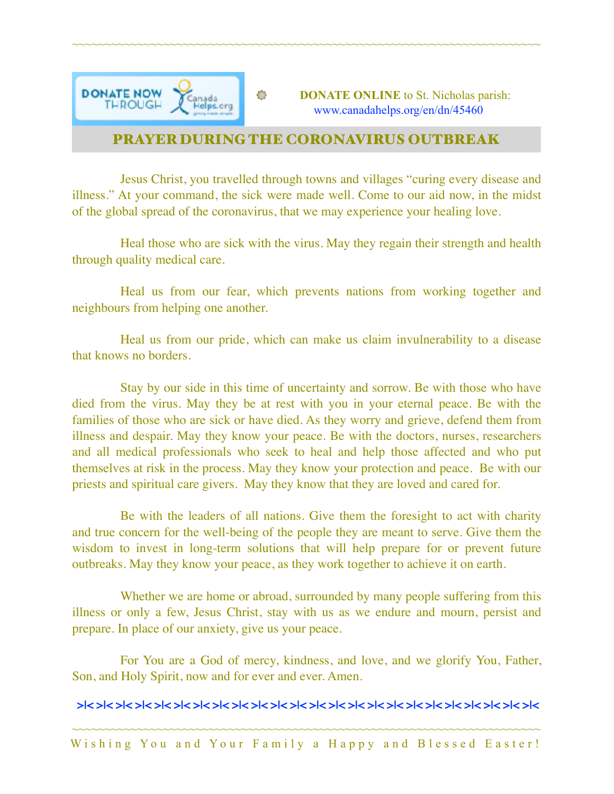

# PRAYER DURING THE CORONAVIRUS OUTBREAK

~~~~~~~~~~~~~~~~~~~~~~~~~~~~~~~~~~~~~~~~~~~~~~~~~~~~~~~~~~~~~~~~~~~~~~~~

Jesus Christ, you travelled through towns and villages "curing every disease and illness." At your command, the sick were made well. Come to our aid now, in the midst of the global spread of the coronavirus, that we may experience your healing love.

Heal those who are sick with the virus. May they regain their strength and health through quality medical care.

Heal us from our fear, which prevents nations from working together and neighbours from helping one another.

Heal us from our pride, which can make us claim invulnerability to a disease that knows no borders.

Stay by our side in this time of uncertainty and sorrow. Be with those who have died from the virus. May they be at rest with you in your eternal peace. Be with the families of those who are sick or have died. As they worry and grieve, defend them from illness and despair. May they know your peace. Be with the doctors, nurses, researchers and all medical professionals who seek to heal and help those affected and who put themselves at risk in the process. May they know your protection and peace. Be with our priests and spiritual care givers. May they know that they are loved and cared for.

Be with the leaders of all nations. Give them the foresight to act with charity and true concern for the well-being of the people they are meant to serve. Give them the wisdom to invest in long-term solutions that will help prepare for or prevent future outbreaks. May they know your peace, as they work together to achieve it on earth.

Whether we are home or abroad, surrounded by many people suffering from this illness or only a few, Jesus Christ, stay with us as we endure and mourn, persist and prepare. In place of our anxiety, give us your peace.

For You are a God of mercy, kindness, and love, and we glorify You, Father, Son, and Holy Spirit, now and for ever and ever. Amen.

### **>|< >|< >|< >|< >|< >|< >|< >|< >|< >|< >|< >|< >|< >|< >|< >|< >|< >|< >|< >|< >|< >|< >|< >|<**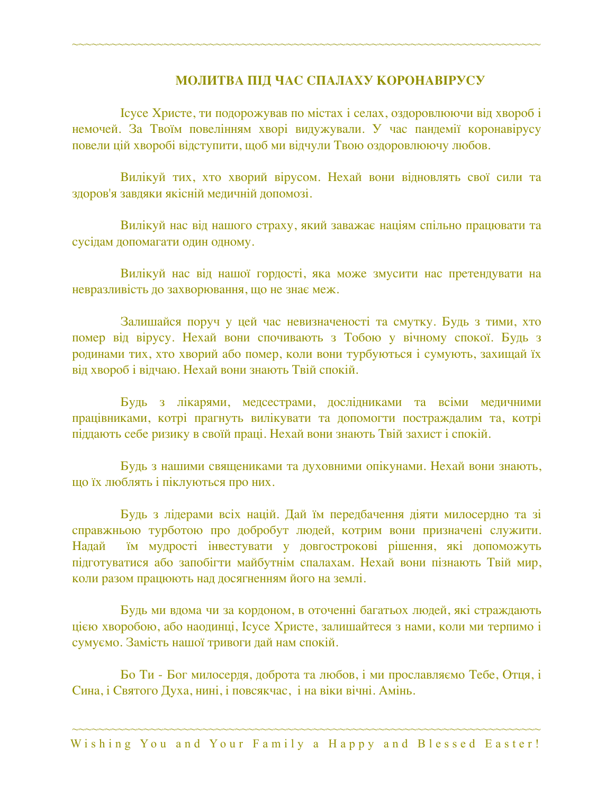### **МОЛИТВА ПІД ЧАС СПАЛАХУ КОРОНАВІРУСУ**

Ісусе Христе, ти подорожував по містах і селах, оздоровлюючи від хвороб і немочей. За Твоїм повелінням хворі видужували. У час пандемії коронавірусу повели цій хворобі відступити, щоб ми відчули Твою оздоровлюючу любов.

~~~~~~~~~~~~~~~~~~~~~~~~~~~~~~~~~~~~~~~~~~~~~~~~~~~~~~~~~~~~~~~~~~~~~~~~

Вилікуй тих, хто хворий вірусом. Нехай вони відновлять свої сили та здоров'я завдяки якісній медичній допомозі.

Вилікуй нас від нашого страху, який заважає націям спільно працювати та сусідам допомагати один одному.

Вилікуй нас від нашої гордості, яка може змусити нас претендувати на невразливість до захворювання, що не знає меж.

Залишайся поруч у цей час невизначеності та смутку. Будь з тими, хто помер від вірусу. Нехай вони спочивають з Тобою у вічному спокої. Будь з родинами тих, хто хворий або помер, коли вони турбуються і сумують, захищай їх від хвороб і відчаю. Нехай вони знають Твій спокій.

Будь з лікарями, медсестрами, дослідниками та всіми медичними працівниками, котрі прагнуть вилікувати та допомогти постраждалим та, котрі піддають себе ризику в своїй праці. Нехай вони знають Твій захист і спокій.

Будь з нашими священиками та духовними опікунами. Нехай вони знають, що їх люблять і піклуються про них.

Будь з лідерами всіх націй. Дай їм передбачення діяти милосердно та зі справжньою турботою про добробут людей, котрим вони призначені служити. Надай їм мудрості інвестувати у довгострокові рішення, які допоможуть підготуватися або запобігти майбутнім спалахам. Нехай вони пізнають Твій мир, коли разом працюють над досягненням його на землі.

Будь ми вдома чи за кордоном, в оточенні багатьох людей, які страждають цією хворобою, або наодинці, Ісусе Христе, залишайтеся з нами, коли ми терпимо і сумуємо. Замість нашої тривоги дай нам спокій.

Бо Ти - Бог милосердя, доброта та любов, і ми прославляємо Тебе, Отця, і Сина, і Святого Духа, нині, і повсякчас, і на віки вічні. Амінь.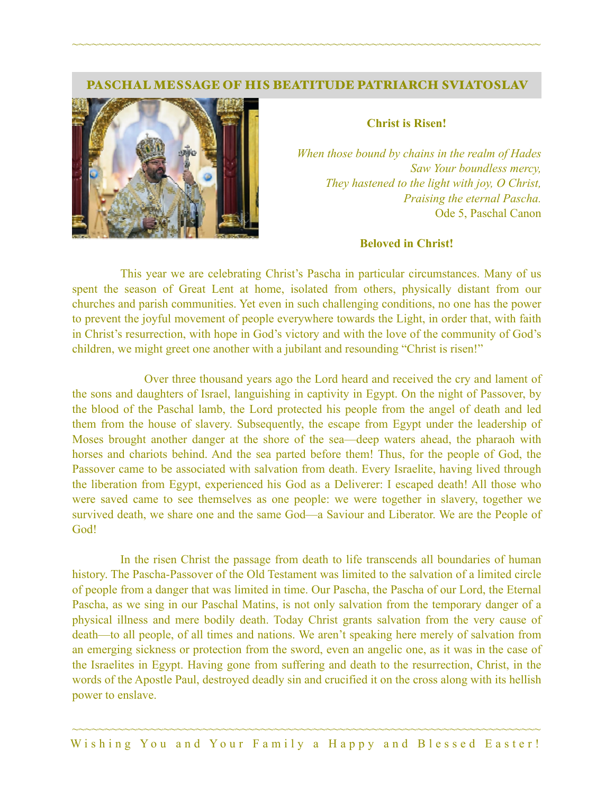#### PASCHAL MESSAGE OF HIS BEATITUDE PATRIARCH SVIATOSLAV

~~~~~~~~~~~~~~~~~~~~~~~~~~~~~~~~~~~~~~~~~~~~~~~~~~~~~~~~~~~~~~~~~~~~~~~~



#### **Christ is Risen!**

*When those bound by chains in the realm of Hades Saw Your boundless mercy, They hastened to the light with joy, O Christ, Praising the eternal Pascha.*  Ode 5, Paschal Canon

#### **Beloved in Christ!**

This year we are celebrating Christ's Pascha in particular circumstances. Many of us spent the season of Great Lent at home, isolated from others, physically distant from our churches and parish communities. Yet even in such challenging conditions, no one has the power to prevent the joyful movement of people everywhere towards the Light, in order that, with faith in Christ's resurrection, with hope in God's victory and with the love of the community of God's children, we might greet one another with a jubilant and resounding "Christ is risen!"

 Over three thousand years ago the Lord heard and received the cry and lament of the sons and daughters of Israel, languishing in captivity in Egypt. On the night of Passover, by the blood of the Paschal lamb, the Lord protected his people from the angel of death and led them from the house of slavery. Subsequently, the escape from Egypt under the leadership of Moses brought another danger at the shore of the sea—deep waters ahead, the pharaoh with horses and chariots behind. And the sea parted before them! Thus, for the people of God, the Passover came to be associated with salvation from death. Every Israelite, having lived through the liberation from Egypt, experienced his God as a Deliverer: I escaped death! All those who were saved came to see themselves as one people: we were together in slavery, together we survived death, we share one and the same God—a Saviour and Liberator. We are the People of God!

In the risen Christ the passage from death to life transcends all boundaries of human history. The Pascha-Passover of the Old Testament was limited to the salvation of a limited circle of people from a danger that was limited in time. Our Pascha, the Pascha of our Lord, the Eternal Pascha, as we sing in our Paschal Matins, is not only salvation from the temporary danger of a physical illness and mere bodily death. Today Christ grants salvation from the very cause of death—to all people, of all times and nations. We aren't speaking here merely of salvation from an emerging sickness or protection from the sword, even an angelic one, as it was in the case of the Israelites in Egypt. Having gone from suffering and death to the resurrection, Christ, in the words of the Apostle Paul, destroyed deadly sin and crucified it on the cross along with its hellish power to enslave.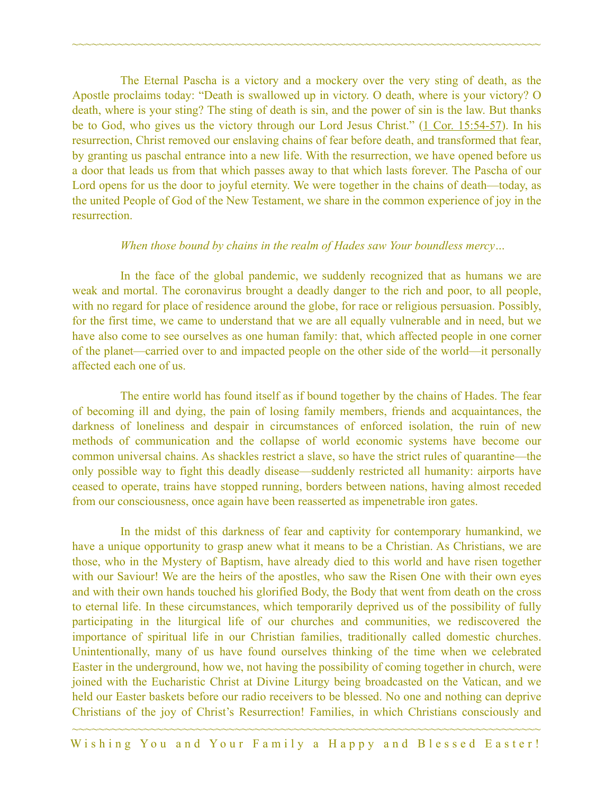The Eternal Pascha is a victory and a mockery over the very sting of death, as the Apostle proclaims today: "Death is swallowed up in victory. O death, where is your victory? O death, where is your sting? The sting of death is sin, and the power of sin is the law. But thanks be to God, who gives us the victory through our Lord Jesus Christ." ([1 Cor. 15:54-57](https://biblia.com/bible/esv/1%20Cor.%2015.54-57)). In his resurrection, Christ removed our enslaving chains of fear before death, and transformed that fear, by granting us paschal entrance into a new life. With the resurrection, we have opened before us a door that leads us from that which passes away to that which lasts forever. The Pascha of our Lord opens for us the door to joyful eternity. We were together in the chains of death—today, as the united People of God of the New Testament, we share in the common experience of joy in the resurrection.

~~~~~~~~~~~~~~~~~~~~~~~~~~~~~~~~~~~~~~~~~~~~~~~~~~~~~~~~~~~~~~~~~~~~~~~~

#### *When those bound by chains in the realm of Hades saw Your boundless mercy…*

In the face of the global pandemic, we suddenly recognized that as humans we are weak and mortal. The coronavirus brought a deadly danger to the rich and poor, to all people, with no regard for place of residence around the globe, for race or religious persuasion. Possibly, for the first time, we came to understand that we are all equally vulnerable and in need, but we have also come to see ourselves as one human family: that, which affected people in one corner of the planet—carried over to and impacted people on the other side of the world—it personally affected each one of us.

The entire world has found itself as if bound together by the chains of Hades. The fear of becoming ill and dying, the pain of losing family members, friends and acquaintances, the darkness of loneliness and despair in circumstances of enforced isolation, the ruin of new methods of communication and the collapse of world economic systems have become our common universal chains. As shackles restrict a slave, so have the strict rules of quarantine—the only possible way to fight this deadly disease—suddenly restricted all humanity: airports have ceased to operate, trains have stopped running, borders between nations, having almost receded from our consciousness, once again have been reasserted as impenetrable iron gates.

In the midst of this darkness of fear and captivity for contemporary humankind, we have a unique opportunity to grasp anew what it means to be a Christian. As Christians, we are those, who in the Mystery of Baptism, have already died to this world and have risen together with our Saviour! We are the heirs of the apostles, who saw the Risen One with their own eyes and with their own hands touched his glorified Body, the Body that went from death on the cross to eternal life. In these circumstances, which temporarily deprived us of the possibility of fully participating in the liturgical life of our churches and communities, we rediscovered the importance of spiritual life in our Christian families, traditionally called domestic churches. Unintentionally, many of us have found ourselves thinking of the time when we celebrated Easter in the underground, how we, not having the possibility of coming together in church, were joined with the Eucharistic Christ at Divine Liturgy being broadcasted on the Vatican, and we held our Easter baskets before our radio receivers to be blessed. No one and nothing can deprive Christians of the joy of Christ's Resurrection! Families, in which Christians consciously and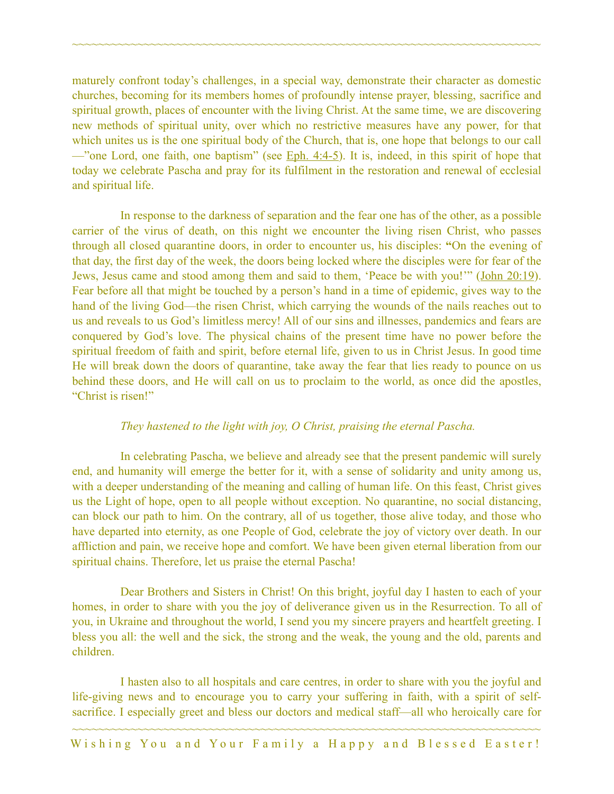maturely confront today's challenges, in a special way, demonstrate their character as domestic churches, becoming for its members homes of profoundly intense prayer, blessing, sacrifice and spiritual growth, places of encounter with the living Christ. At the same time, we are discovering new methods of spiritual unity, over which no restrictive measures have any power, for that which unites us is the one spiritual body of the Church, that is, one hope that belongs to our call —"one Lord, one faith, one baptism" (see Eph.  $4:4-5$ ). It is, indeed, in this spirit of hope that today we celebrate Pascha and pray for its fulfilment in the restoration and renewal of ecclesial and spiritual life.

~~~~~~~~~~~~~~~~~~~~~~~~~~~~~~~~~~~~~~~~~~~~~~~~~~~~~~~~~~~~~~~~~~~~~~~~

In response to the darkness of separation and the fear one has of the other, as a possible carrier of the virus of death, on this night we encounter the living risen Christ, who passes through all closed quarantine doors, in order to encounter us, his disciples: **"**On the evening of that day, the first day of the week, the doors being locked where the disciples were for fear of the Jews, Jesus came and stood among them and said to them, 'Peace be with you!'" [\(John 20:19](https://biblia.com/bible/esv/John%2020.19)). Fear before all that might be touched by a person's hand in a time of epidemic, gives way to the hand of the living God—the risen Christ, which carrying the wounds of the nails reaches out to us and reveals to us God's limitless mercy! All of our sins and illnesses, pandemics and fears are conquered by God's love. The physical chains of the present time have no power before the spiritual freedom of faith and spirit, before eternal life, given to us in Christ Jesus. In good time He will break down the doors of quarantine, take away the fear that lies ready to pounce on us behind these doors, and He will call on us to proclaim to the world, as once did the apostles, "Christ is risen!"

### *They hastened to the light with joy, O Christ, praising the eternal Pascha.*

In celebrating Pascha, we believe and already see that the present pandemic will surely end, and humanity will emerge the better for it, with a sense of solidarity and unity among us, with a deeper understanding of the meaning and calling of human life. On this feast, Christ gives us the Light of hope, open to all people without exception. No quarantine, no social distancing, can block our path to him. On the contrary, all of us together, those alive today, and those who have departed into eternity, as one People of God, celebrate the joy of victory over death. In our affliction and pain, we receive hope and comfort. We have been given eternal liberation from our spiritual chains. Therefore, let us praise the eternal Pascha!

Dear Brothers and Sisters in Christ! On this bright, joyful day I hasten to each of your homes, in order to share with you the joy of deliverance given us in the Resurrection. To all of you, in Ukraine and throughout the world, I send you my sincere prayers and heartfelt greeting. I bless you all: the well and the sick, the strong and the weak, the young and the old, parents and children.

I hasten also to all hospitals and care centres, in order to share with you the joyful and life-giving news and to encourage you to carry your suffering in faith, with a spirit of selfsacrifice. I especially greet and bless our doctors and medical staff—all who heroically care for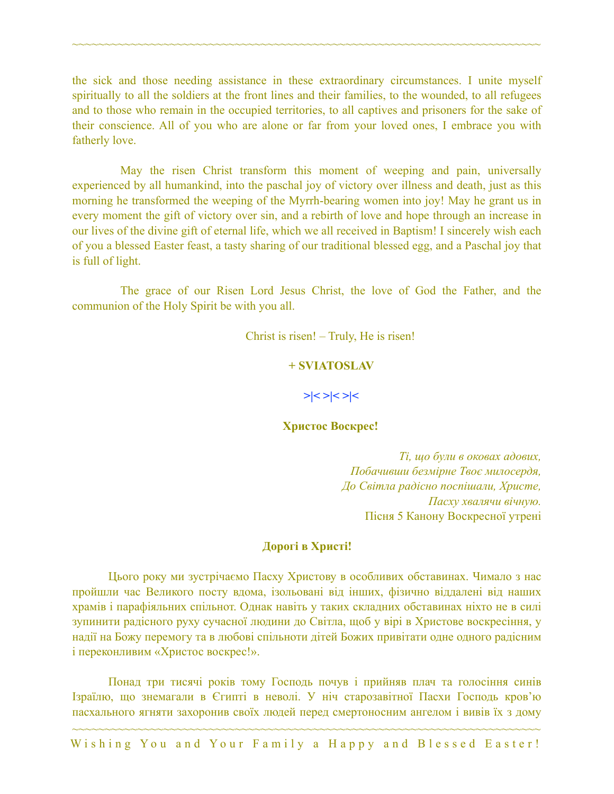the sick and those needing assistance in these extraordinary circumstances. I unite myself spiritually to all the soldiers at the front lines and their families, to the wounded, to all refugees and to those who remain in the occupied territories, to all captives and prisoners for the sake of their conscience. All of you who are alone or far from your loved ones, I embrace you with fatherly love.

~~~~~~~~~~~~~~~~~~~~~~~~~~~~~~~~~~~~~~~~~~~~~~~~~~~~~~~~~~~~~~~~~~~~~~~~

May the risen Christ transform this moment of weeping and pain, universally experienced by all humankind, into the paschal joy of victory over illness and death, just as this morning he transformed the weeping of the Myrrh-bearing women into joy! May he grant us in every moment the gift of victory over sin, and a rebirth of love and hope through an increase in our lives of the divine gift of eternal life, which we all received in Baptism! I sincerely wish each of you a blessed Easter feast, a tasty sharing of our traditional blessed egg, and a Paschal joy that is full of light.

The grace of our Risen Lord Jesus Christ, the love of God the Father, and the communion of the Holy Spirit be with you all.

Christ is risen! – Truly, He is risen!

### **+ SVIATOSLAV**

**>|< >|< >|<** 

### **Христос Bоскрес!**

*Ті, що були в оковах адових, Побачивши безмірне Твоє милосердя, До Світла радісно поспішали, Христе, Пасху хвалячи вічную.*  Пісня 5 Канону Воскресної утрені

### **Дорогі в Христі!**

Цього року ми зустрічаємо Пасху Христову в особливих обставинах. Чимало з нас пройшли час Великого посту вдома, ізольовані від інших, фізично віддалені від наших храмів і парафіяльних спільнот. Однак навіть у таких складних обставинах ніхто не в силі зупинити радісного руху сучасної людини до Світла, щоб у вірі в Христове воскресіння, у надії на Божу перемогу та в любові спільноти дітей Божих привітати одне одного радісним і переконливим «Христос воскрес!».

Понад три тисячі років тому Господь почув і прийняв плач та голосіння синів Ізраїлю, що знемагали в Єгипті в неволі. У ніч старозавітної Пасхи Господь кров'ю пасхального ягняти захоронив своїх людей перед смертоносним ангелом і вивів їх з дому

~~~~~~~~~~~~~~~~~~~~~~~~~~~~~~~~~~~~~~~~~~~~~~~~~~~~~~~~~~~~~~~~~~~~~~~~ Wishing You and Your Family a Happy and Blessed Easter!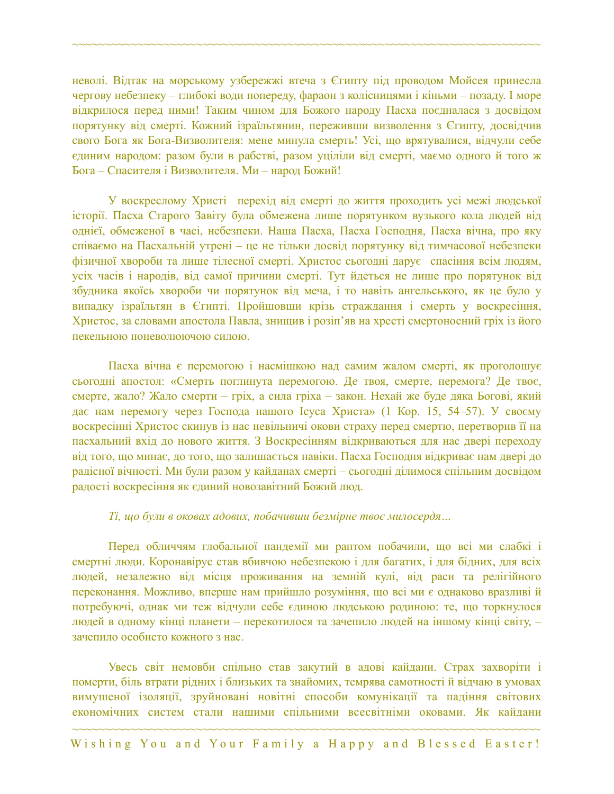неволі. Відтак на морському узбережжі втеча з Єгипту під проводом Мойсея принесла чергову небезпеку – глибокі води попереду, фараон з колісницями і кіньми – позаду. І море відкрилося перед ними! Таким чином для Божого народу Пасха поєдналася з досвідом порятунку від смерті. Кожний ізраїльтянин, переживши визволення з Єгипту, досвідчив свого Бога як Бога-Визволителя: мене минула смерть! Усі, що врятувалися, відчули себе єдиним народом: разом були в рабстві, разом уціліли від смерті, маємо одного й того ж Бога – Спасителя і Визволителя. Ми – народ Божий!

~~~~~~~~~~~~~~~~~~~~~~~~~~~~~~~~~~~~~~~~~~~~~~~~~~~~~~~~~~~~~~~~~~~~~~~~

У воскреслому Христі перехід від смерті до життя проходить усі межі людської історії. Пасха Старого Завіту була обмежена лише порятунком вузького кола людей від однієї, обмеженої в часі, небезпеки. Наша Пасха, Пасха Господня, Пасха вічна, про яку співаємо на Пасхальній утрені – це не тільки досвід порятунку від тимчасової небезпеки фізичної хвороби та лише тілесної смерті. Христос сьогодні дарує спасіння всім людям, усіх часів і народів, від самої причини смерті. Тут йдеться не лише про порятунок від збудника якоїсь хвороби чи порятунок від меча, і то навіть ангельського, як це було у випадку ізраїльтян в Єгипті. Пройшовши крізь страждання і смерть у воскресіння, Христос, за словами апостола Павла, знищив і розіп'яв на хресті смертоносний гріх із його пекельною поневолюючою силою.

Пасха вічна є перемогою і насмішкою над самим жалом смерті, як проголошує сьогодні апостол: «Смерть поглинута перемогою. Де твоя, смерте, перемога? Де твоє, смерте, жало? Жало смерти – гріх, а сила гріха – закон. Нехай же буде дяка Богові, який дає нам перемогу через Господа нашого Ісуса Христа» (1 Кор. 15, 54–57). У своєму воскресінні Христос скинув із нас невільничі окови страху перед смертю, перетворив її на пасхальний вхід до нового життя. З Воскресінням відкриваються для нас двері переходу від того, що минає, до того, що залишається навіки. Пасха Господня відкриває нам двері до радісної вічності. Ми були разом у кайданах смерті – сьогодні ділимося спільним досвідом радості воскресіння як єдиний новозавітний Божий люд.

#### *Ті, що були в оковах адових, побачивши безмірне твоє милосердя…*

Перед обличчям глобальної пандемії ми раптом побачили, що всі ми слабкі і смертні люди. Коронавірус став вбивчою небезпекою і для багатих, і для бідних, для всіх людей, незалежно від місця проживання на земній кулі, від раси та релігійного переконання. Можливо, вперше нам прийшло розуміння, що всі ми є однаково вразливі й потребуючі, однак ми теж відчули себе єдиною людською родиною: те, що торкнулося людей в одному кінці планети – перекотилося та зачепило людей на іншому кінці світу, – зачепило особисто кожного з нас.

Увесь світ немовби спільно став закутий в адові кайдани. Страх захворіти і померти, біль втрати рідних і близьких та знайомих, темрява самотності й відчаю в умовах вимушеної ізоляції, зруйновані новітні способи комунікації та падіння світових економічних систем стали нашими спільними всесвітніми оковами. Як кайдани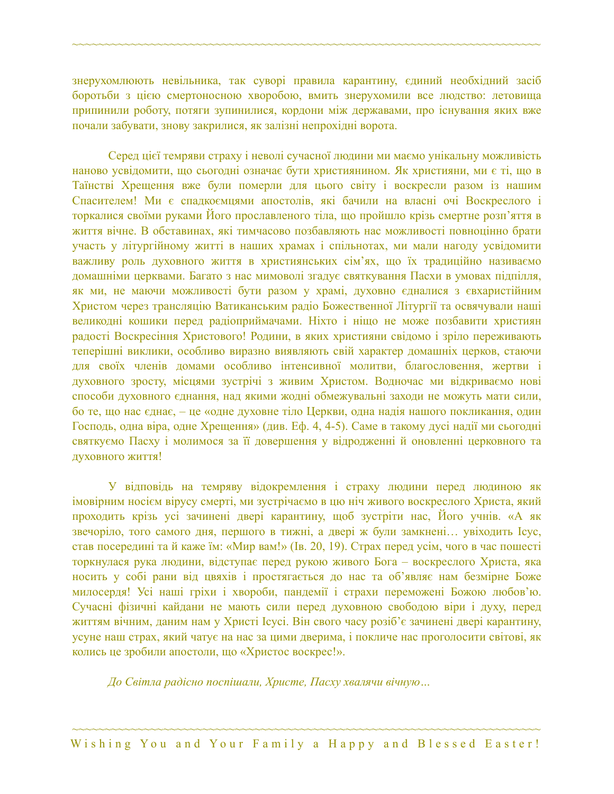знерухомлюють невільника, так суворі правила карантину, єдиний необхідний засіб боротьби з цією смертоносною хворобою, вмить знерухомили все людство: летовища припинили роботу, потяги зупинилися, кордони між державами, про існування яких вже почали забувати, знову закрилися, як залізні непрохідні ворота.

~~~~~~~~~~~~~~~~~~~~~~~~~~~~~~~~~~~~~~~~~~~~~~~~~~~~~~~~~~~~~~~~~~~~~~~~

Серед цієї темряви страху і неволі сучасної людини ми маємо унікальну можливість наново усвідомити, що сьогодні означає бути християнином. Як християни, ми є ті, що в Таїнстві Хрещення вже були померли для цього світу і воскресли разом із нашим Спасителем! Ми є спадкоємцями апостолів, які бачили на власні очі Воскреслого і торкалися своїми руками Його прославленого тіла, що пройшло крізь смертне розп'яття в життя вічне. В обставинах, які тимчасово позбавляють нас можливості повноцінно брати участь у літургійному житті в наших храмах і спільнотах, ми мали нагоду усвідомити важливу роль духовного життя в християнських сім'ях, що їх традиційно називаємо домашніми церквами. Багато з нас мимоволі згадує святкування Пасхи в умовах підпілля, як ми, не маючи можливості бути разом у храмі, духовно єдналися з євхаристійним Христом через трансляцію Ватиканським радіо Божественної Літургії та освячували наші великодні кошики перед радіоприймачами. Ніхто і ніщо не може позбавити християн радості Воскресіння Христового! Родини, в яких християни свідомо і зріло переживають теперішні виклики, особливо виразно виявляють свій характер домашніх церков, стаючи для своїх членів домами особливо інтенсивної молитви, благословення, жертви і духовного зросту, місцями зустрічі з живим Христом. Водночас ми відкриваємо нові способи духовного єднання, над якими жодні обмежувальні заходи не можуть мати сили, бо те, що нас єднає, – це «одне духовне тіло Церкви, одна надія нашого покликання, один Господь, одна віра, одне Хрещення» (див. Еф. 4, 4-5). Саме в такому дусі надії ми сьогодні святкуємо Пасху і молимося за її довершення у відродженні й оновленні церковного та духовного життя!

У відповідь на темряву відокремлення і страху людини перед людиною як імовірним носієм вірусу смерті, ми зустрічаємо в цю ніч живого воскреслого Христа, який проходить крізь усі зачинені двері карантину, щоб зустріти нас, Його учнів. «А як звечоріло, того самого дня, першого в тижні, а двері ж були замкнені… увіходить Ісус, став посередині та й каже їм: «Мир вам!» (Ів. 20, 19). Страх перед усім, чого в час пошесті торкнулася рука людини, відступає перед рукою живого Бога – воскреслого Христа, яка носить у собі рани від цвяхів і простягається до нас та об'являє нам безмірне Боже милосердя! Усі наші гріхи і хвороби, пандемії і страхи переможені Божою любов'ю. Сучасні фізичні кайдани не мають сили перед духовною свободою віри і духу, перед життям вічним, даним нам у Христі Ісусі. Він свого часу розіб'є зачинені двері карантину, усуне наш страх, який чатує на нас за цими дверима, і покличе нас проголосити світові, як колись це зробили апостоли, що «Христос воскрес!».

*До Світла радісно поспішали, Христе, Пасху хвалячи вічную…*